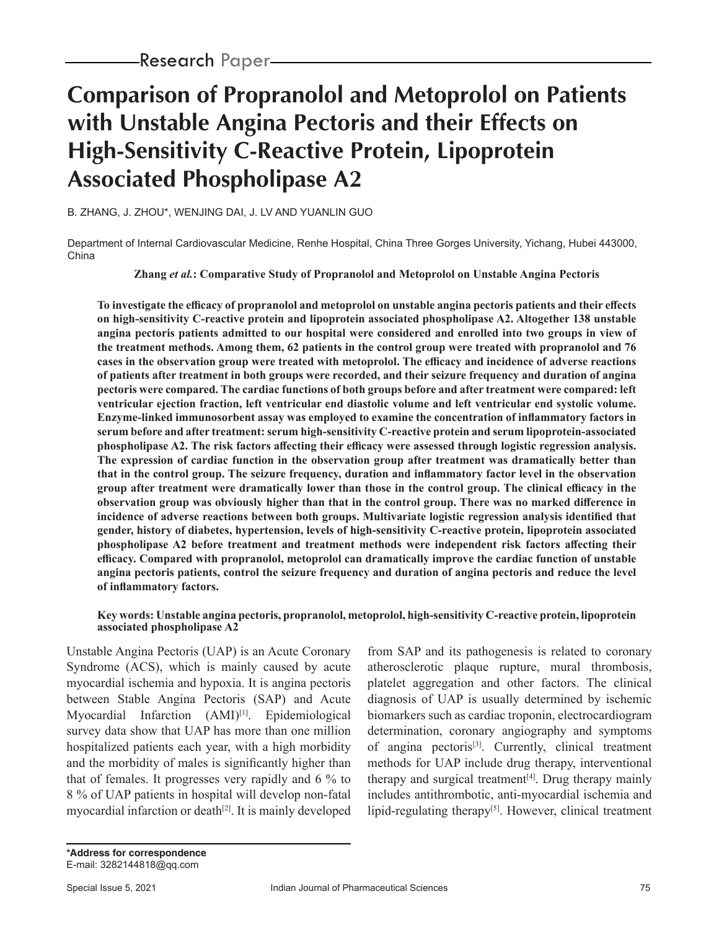# **Comparison of Propranolol and Metoprolol on Patients with Unstable Angina Pectoris and their Effects on High-Sensitivity C-Reactive Protein, Lipoprotein Associated Phospholipase A2**

B. ZHANG, J. ZHOU\*, WENJING DAI, J. LV AND YUANLIN GUO

Department of Internal Cardiovascular Medicine, Renhe Hospital, China Three Gorges University, Yichang, Hubei 443000, China

**Zhang** *et al.***: Comparative Study of Propranolol and Metoprolol on Unstable Angina Pectoris**

**To investigate the efficacy of propranolol and metoprolol on unstable angina pectoris patients and their effects on high-sensitivity C-reactive protein and lipoprotein associated phospholipase A2. Altogether 138 unstable angina pectoris patients admitted to our hospital were considered and enrolled into two groups in view of the treatment methods. Among them, 62 patients in the control group were treated with propranolol and 76 cases in the observation group were treated with metoprolol. The efficacy and incidence of adverse reactions of patients after treatment in both groups were recorded, and their seizure frequency and duration of angina pectoris were compared. The cardiac functions of both groups before and after treatment were compared: left ventricular ejection fraction, left ventricular end diastolic volume and left ventricular end systolic volume. Enzyme-linked immunosorbent assay was employed to examine the concentration of inflammatory factors in serum before and after treatment: serum high-sensitivity C-reactive protein and serum lipoprotein-associated phospholipase A2. The risk factors affecting their efficacy were assessed through logistic regression analysis. The expression of cardiac function in the observation group after treatment was dramatically better than that in the control group. The seizure frequency, duration and inflammatory factor level in the observation group after treatment were dramatically lower than those in the control group. The clinical efficacy in the observation group was obviously higher than that in the control group. There was no marked difference in incidence of adverse reactions between both groups. Multivariate logistic regression analysis identified that gender, history of diabetes, hypertension, levels of high-sensitivity C-reactive protein, lipoprotein associated phospholipase A2 before treatment and treatment methods were independent risk factors affecting their efficacy. Compared with propranolol, metoprolol can dramatically improve the cardiac function of unstable angina pectoris patients, control the seizure frequency and duration of angina pectoris and reduce the level of inflammatory factors.**

**Key words: Unstable angina pectoris, propranolol, metoprolol, high-sensitivity C-reactive protein, lipoprotein associated phospholipase A2**

Unstable Angina Pectoris (UAP) is an Acute Coronary Syndrome (ACS), which is mainly caused by acute myocardial ischemia and hypoxia. It is angina pectoris between Stable Angina Pectoris (SAP) and Acute Myocardial Infarction (AMI)<sup>[1]</sup>. Epidemiological survey data show that UAP has more than one million hospitalized patients each year, with a high morbidity and the morbidity of males is significantly higher than that of females. It progresses very rapidly and 6 % to 8 % of UAP patients in hospital will develop non-fatal myocardial infarction or death $[2]$ . It is mainly developed from SAP and its pathogenesis is related to coronary atherosclerotic plaque rupture, mural thrombosis, platelet aggregation and other factors. The clinical diagnosis of UAP is usually determined by ischemic biomarkers such as cardiac troponin, electrocardiogram determination, coronary angiography and symptoms of angina pectoris[3]. Currently, clinical treatment methods for UAP include drug therapy, interventional therapy and surgical treatment<sup>[4]</sup>. Drug therapy mainly includes antithrombotic, anti-myocardial ischemia and lipid-regulating therapy<sup>[5]</sup>. However, clinical treatment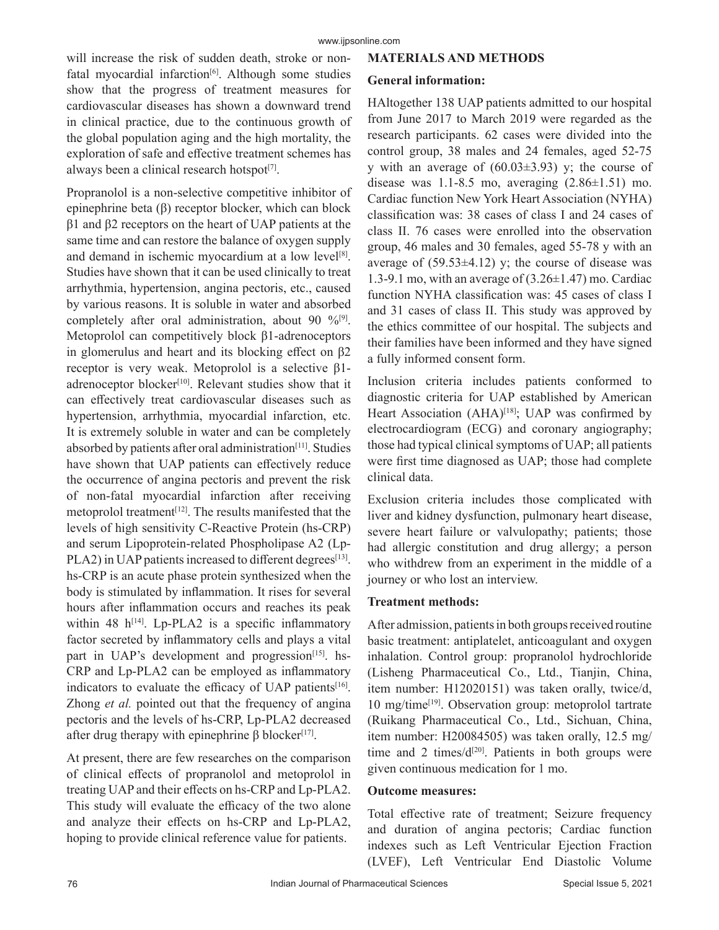will increase the risk of sudden death, stroke or nonfatal myocardial infarction<sup>[6]</sup>. Although some studies show that the progress of treatment measures for cardiovascular diseases has shown a downward trend in clinical practice, due to the continuous growth of the global population aging and the high mortality, the exploration of safe and effective treatment schemes has always been a clinical research hotspot $[7]$ .

Propranolol is a non-selective competitive inhibitor of epinephrine beta (β) receptor blocker, which can block β1 and β2 receptors on the heart of UAP patients at the same time and can restore the balance of oxygen supply and demand in ischemic myocardium at a low level<sup>[8]</sup>. Studies have shown that it can be used clinically to treat arrhythmia, hypertension, angina pectoris, etc., caused by various reasons. It is soluble in water and absorbed completely after oral administration, about 90  $\%$ <sup>[9]</sup>. Metoprolol can competitively block β1-adrenoceptors in glomerulus and heart and its blocking effect on β2 receptor is very weak. Metoprolol is a selective β1 adrenoceptor blocker<sup>[10]</sup>. Relevant studies show that it can effectively treat cardiovascular diseases such as hypertension, arrhythmia, myocardial infarction, etc. It is extremely soluble in water and can be completely absorbed by patients after oral administration<sup>[11]</sup>. Studies have shown that UAP patients can effectively reduce the occurrence of angina pectoris and prevent the risk of non-fatal myocardial infarction after receiving metoprolol treatment<sup>[12]</sup>. The results manifested that the levels of high sensitivity C-Reactive Protein (hs-CRP) and serum Lipoprotein-related Phospholipase A2 (Lp-PLA2) in UAP patients increased to different degrees<sup>[13]</sup>. hs-CRP is an acute phase protein synthesized when the body is stimulated by inflammation. It rises for several hours after inflammation occurs and reaches its peak within 48  $h^{[14]}$ . Lp-PLA2 is a specific inflammatory factor secreted by inflammatory cells and plays a vital part in UAP's development and progression<sup>[15]</sup>. hs-CRP and Lp-PLA2 can be employed as inflammatory indicators to evaluate the efficacy of UAP patients $[16]$ . Zhong *et al.* pointed out that the frequency of angina pectoris and the levels of hs-CRP, Lp-PLA2 decreased after drug therapy with epinephrine β blocker<sup>[17]</sup>.

At present, there are few researches on the comparison of clinical effects of propranolol and metoprolol in treating UAP and their effects on hs-CRP and Lp-PLA2. This study will evaluate the efficacy of the two alone and analyze their effects on hs-CRP and Lp-PLA2, hoping to provide clinical reference value for patients.

#### **MATERIALS AND METHODS**

#### **General information:**

HAltogether 138 UAP patients admitted to our hospital from June 2017 to March 2019 were regarded as the research participants. 62 cases were divided into the control group, 38 males and 24 females, aged 52-75 y with an average of (60.03±3.93) y; the course of disease was  $1.1 - 8.5$  mo, averaging  $(2.86 \pm 1.51)$  mo. Cardiac function New York Heart Association (NYHA) classification was: 38 cases of class I and 24 cases of class II. 76 cases were enrolled into the observation group, 46 males and 30 females, aged 55-78 y with an average of  $(59.53\pm4.12)$  y; the course of disease was 1.3-9.1 mo, with an average of  $(3.26\pm1.47)$  mo. Cardiac function NYHA classification was: 45 cases of class I and 31 cases of class II. This study was approved by the ethics committee of our hospital. The subjects and their families have been informed and they have signed a fully informed consent form.

Inclusion criteria includes patients conformed to diagnostic criteria for UAP established by American Heart Association (AHA)<sup>[18]</sup>; UAP was confirmed by electrocardiogram (ECG) and coronary angiography; those had typical clinical symptoms of UAP; all patients were first time diagnosed as UAP; those had complete clinical data.

Exclusion criteria includes those complicated with liver and kidney dysfunction, pulmonary heart disease, severe heart failure or valvulopathy; patients; those had allergic constitution and drug allergy; a person who withdrew from an experiment in the middle of a journey or who lost an interview.

#### **Treatment methods:**

After admission, patients in both groups received routine basic treatment: antiplatelet, anticoagulant and oxygen inhalation. Control group: propranolol hydrochloride (Lisheng Pharmaceutical Co., Ltd., Tianjin, China, item number: H12020151) was taken orally, twice/d, 10 mg/time[19]. Observation group: metoprolol tartrate (Ruikang Pharmaceutical Co., Ltd., Sichuan, China, item number: H20084505) was taken orally, 12.5 mg/ time and 2 times/ $d^{[20]}$ . Patients in both groups were given continuous medication for 1 mo.

#### **Outcome measures:**

Total effective rate of treatment; Seizure frequency and duration of angina pectoris; Cardiac function indexes such as Left Ventricular Ejection Fraction (LVEF), Left Ventricular End Diastolic Volume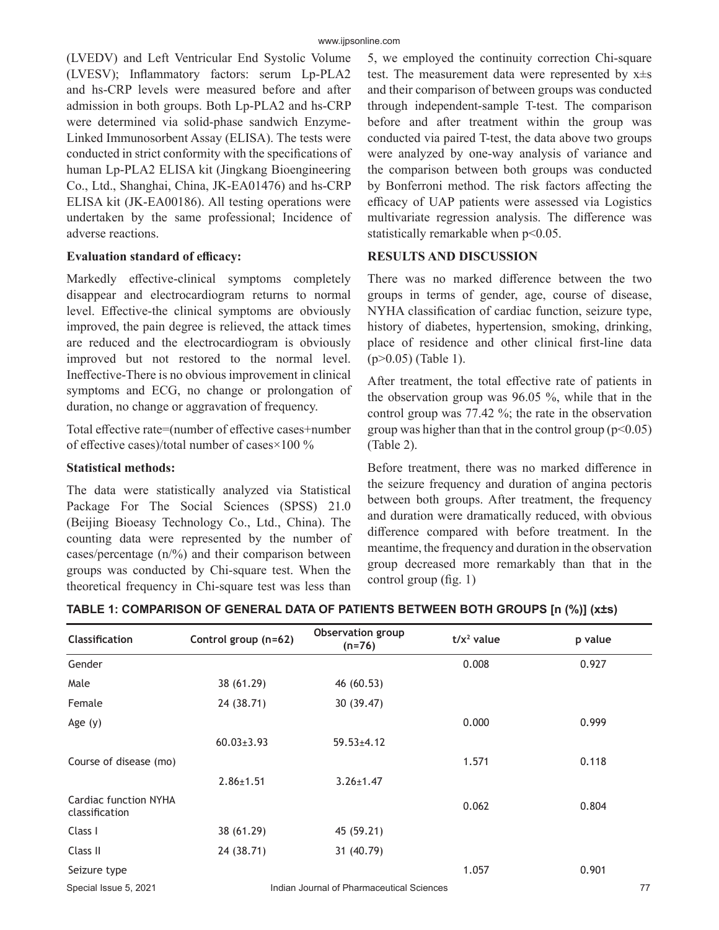(LVEDV) and Left Ventricular End Systolic Volume (LVESV); Inflammatory factors: serum Lp-PLA2 and hs-CRP levels were measured before and after admission in both groups. Both Lp-PLA2 and hs-CRP were determined via solid-phase sandwich Enzyme-Linked Immunosorbent Assay (ELISA). The tests were conducted in strict conformity with the specifications of human Lp-PLA2 ELISA kit (Jingkang Bioengineering Co., Ltd., Shanghai, China, JK-EA01476) and hs-CRP ELISA kit (JK-EA00186). All testing operations were undertaken by the same professional; Incidence of adverse reactions.

#### **Evaluation standard of efficacy:**

Markedly effective-clinical symptoms completely disappear and electrocardiogram returns to normal level. Effective-the clinical symptoms are obviously improved, the pain degree is relieved, the attack times are reduced and the electrocardiogram is obviously improved but not restored to the normal level. Ineffective-There is no obvious improvement in clinical symptoms and ECG, no change or prolongation of duration, no change or aggravation of frequency.

Total effective rate=(number of effective cases+number of effective cases)/total number of cases×100 %

#### **Statistical methods:**

The data were statistically analyzed via Statistical Package For The Social Sciences (SPSS) 21.0 (Beijing Bioeasy Technology Co., Ltd., China). The counting data were represented by the number of cases/percentage (n/%) and their comparison between groups was conducted by Chi-square test. When the theoretical frequency in Chi-square test was less than 5, we employed the continuity correction Chi-square test. The measurement data were represented by  $x \pm s$ and their comparison of between groups was conducted through independent-sample T-test. The comparison before and after treatment within the group was conducted via paired T-test, the data above two groups were analyzed by one-way analysis of variance and the comparison between both groups was conducted by Bonferroni method. The risk factors affecting the efficacy of UAP patients were assessed via Logistics multivariate regression analysis. The difference was statistically remarkable when p<0.05.

#### **RESULTS AND DISCUSSION**

There was no marked difference between the two groups in terms of gender, age, course of disease, NYHA classification of cardiac function, seizure type, history of diabetes, hypertension, smoking, drinking, place of residence and other clinical first-line data  $(p>0.05)$  (Table 1).

After treatment, the total effective rate of patients in the observation group was 96.05 %, while that in the control group was 77.42 %; the rate in the observation group was higher than that in the control group ( $p \le 0.05$ ) (Table 2).

Before treatment, there was no marked difference in the seizure frequency and duration of angina pectoris between both groups. After treatment, the frequency and duration were dramatically reduced, with obvious difference compared with before treatment. In the meantime, the frequency and duration in the observation group decreased more remarkably than that in the control group (fig. 1)

| TABLE 1: COMPARISON OF GENERAL DATA OF PATIENTS BETWEEN BOTH GROUPS [n (%)] (x±s) |  |  |  |
|-----------------------------------------------------------------------------------|--|--|--|
|-----------------------------------------------------------------------------------|--|--|--|

| <b>Classification</b>                          | Control group (n=62) | <b>Observation group</b><br>$(n=76)$      | $t/x^2$ value | p value |
|------------------------------------------------|----------------------|-------------------------------------------|---------------|---------|
| Gender                                         |                      |                                           | 0.008         | 0.927   |
| Male                                           | 38 (61.29)           | 46 (60.53)                                |               |         |
| Female                                         | 24 (38.71)           | 30 (39.47)                                |               |         |
| Age $(y)$                                      |                      |                                           | 0.000         | 0.999   |
|                                                | $60.03 \pm 3.93$     | $59.53 \pm 4.12$                          |               |         |
| Course of disease (mo)                         |                      |                                           | 1.571         | 0.118   |
|                                                | $2.86 \pm 1.51$      | $3.26 \pm 1.47$                           |               |         |
| <b>Cardiac function NYHA</b><br>classification |                      |                                           | 0.062         | 0.804   |
| Class I                                        | 38 (61.29)           | 45 (59.21)                                |               |         |
| Class II                                       | 24 (38.71)           | 31 (40.79)                                |               |         |
| Seizure type                                   |                      |                                           | 1.057         | 0.901   |
| Special Issue 5, 2021                          |                      | Indian Journal of Pharmaceutical Sciences |               | 77      |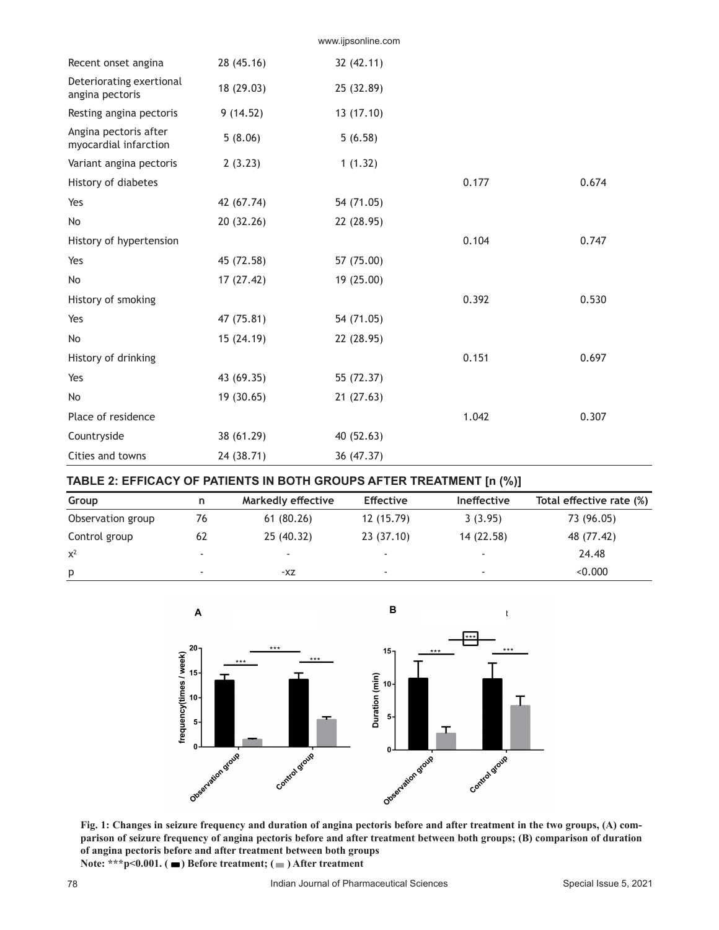|            | www.ijpsonline.com |       |       |
|------------|--------------------|-------|-------|
| 28(45.16)  | 32 (42.11)         |       |       |
| 18 (29.03) | 25 (32.89)         |       |       |
| 9(14.52)   | 13 (17.10)         |       |       |
| 5(8.06)    | 5(6.58)            |       |       |
| 2(3.23)    | 1(1.32)            |       |       |
|            |                    | 0.177 | 0.674 |
| 42 (67.74) | 54 (71.05)         |       |       |
| 20 (32.26) | 22 (28.95)         |       |       |
|            |                    | 0.104 | 0.747 |
| 45 (72.58) | 57 (75.00)         |       |       |
| 17 (27.42) | 19 (25.00)         |       |       |
|            |                    | 0.392 | 0.530 |
| 47 (75.81) | 54 (71.05)         |       |       |
| 15 (24.19) | 22 (28.95)         |       |       |
|            |                    | 0.151 | 0.697 |
| 43 (69.35) | 55 (72.37)         |       |       |
| 19 (30.65) | 21(27.63)          |       |       |
|            |                    | 1.042 | 0.307 |
| 38 (61.29) | 40 (52.63)         |       |       |
| 24 (38.71) | 36 (47.37)         |       |       |
|            |                    |       |       |

#### **TABLE 2: EFFICACY OF PATIENTS IN BOTH GROUPS AFTER TREATMENT [n (%)]**

| Group             |    | Markedly effective | <b>Effective</b>         | <b>Ineffective</b>       | Total effective rate (%) |
|-------------------|----|--------------------|--------------------------|--------------------------|--------------------------|
| Observation group | 76 | 61(80.26)          | 12 (15.79)               | 3(3.95)                  | 73 (96.05)               |
| Control group     | 62 | 25 (40.32)         | 23(37.10)                | 14 (22.58)               | 48 (77.42)               |
| $x^2$             | -  | ۰                  |                          | $\overline{\phantom{a}}$ | 24.48                    |
| p                 | -  | -XZ                | $\overline{\phantom{a}}$ |                          | < 0.000                  |



**Fig. 1: Changes in seizure frequency and duration of angina pectoris before and after treatment in the two groups, (A) comparison of seizure frequency of angina pectoris before and after treatment between both groups; (B) comparison of duration of angina pectoris before and after treatment between both groups**  Note: \*\*\*p<0.001. ( $\blacksquare$ ) Before treatment; ( $\blacksquare$ ) After treatment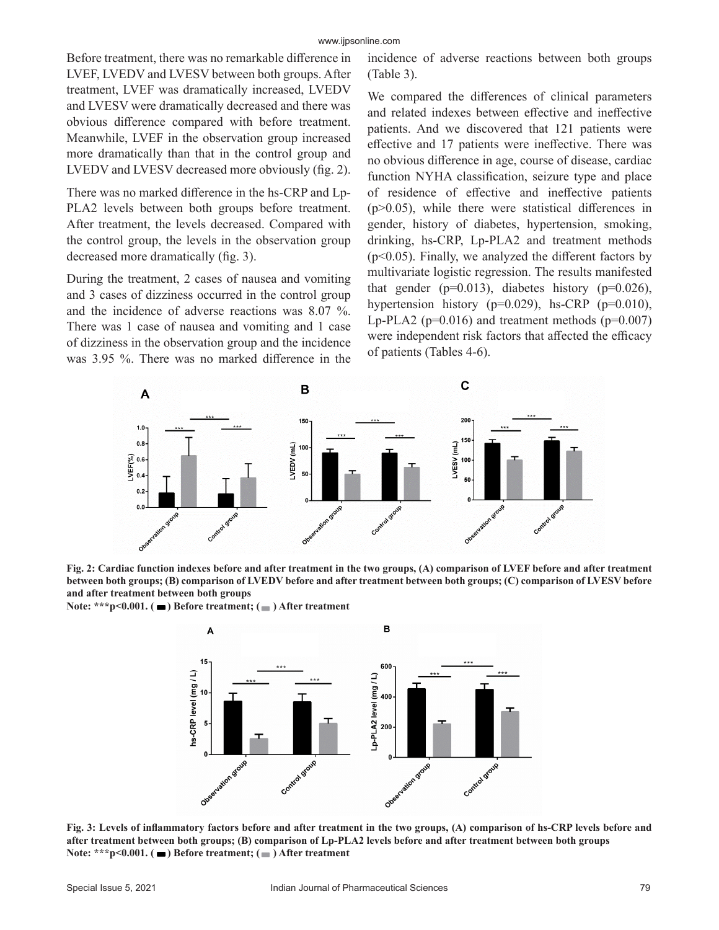Before treatment, there was no remarkable difference in LVEF, LVEDV and LVESV between both groups. After treatment, LVEF was dramatically increased, LVEDV and LVESV were dramatically decreased and there was obvious difference compared with before treatment. Meanwhile, LVEF in the observation group increased more dramatically than that in the control group and LVEDV and LVESV decreased more obviously (fig. 2).

There was no marked difference in the hs-CRP and Lp-PLA2 levels between both groups before treatment. After treatment, the levels decreased. Compared with the control group, the levels in the observation group decreased more dramatically (fig. 3).

During the treatment, 2 cases of nausea and vomiting and 3 cases of dizziness occurred in the control group and the incidence of adverse reactions was 8.07 %. There was 1 case of nausea and vomiting and 1 case of dizziness in the observation group and the incidence was 3.95 %. There was no marked difference in the incidence of adverse reactions between both groups (Table 3).

We compared the differences of clinical parameters and related indexes between effective and ineffective patients. And we discovered that 121 patients were effective and 17 patients were ineffective. There was no obvious difference in age, course of disease, cardiac function NYHA classification, seizure type and place of residence of effective and ineffective patients  $(p>0.05)$ , while there were statistical differences in gender, history of diabetes, hypertension, smoking, drinking, hs-CRP, Lp-PLA2 and treatment methods  $(p<0.05)$ . Finally, we analyzed the different factors by multivariate logistic regression. The results manifested that gender ( $p=0.013$ ), diabetes history ( $p=0.026$ ), hypertension history (p=0.029), hs-CRP (p=0.010), Lp-PLA2 ( $p=0.016$ ) and treatment methods ( $p=0.007$ ) were independent risk factors that affected the efficacy of patients (Tables 4-6).



**Fig. 2: Cardiac function indexes before and after treatment in the two groups, (A) comparison of LVEF before and after treatment between both groups; (B) comparison of LVEDV before and after treatment between both groups; (C) comparison of LVESV before and after treatment between both groups**

Note: \*\*\*p<0.001. ( $\blacksquare$ ) Before treatment; ( $\blacksquare$ ) After treatment



**Fig. 3: Levels of inflammatory factors before and after treatment in the two groups, (A) comparison of hs-CRP levels before and after treatment between both groups; (B) comparison of Lp-PLA2 levels before and after treatment between both groups**  Note: \*\*\*p<0.001. ( $\blacksquare$ ) Before treatment; ( $\blacksquare$ ) After treatment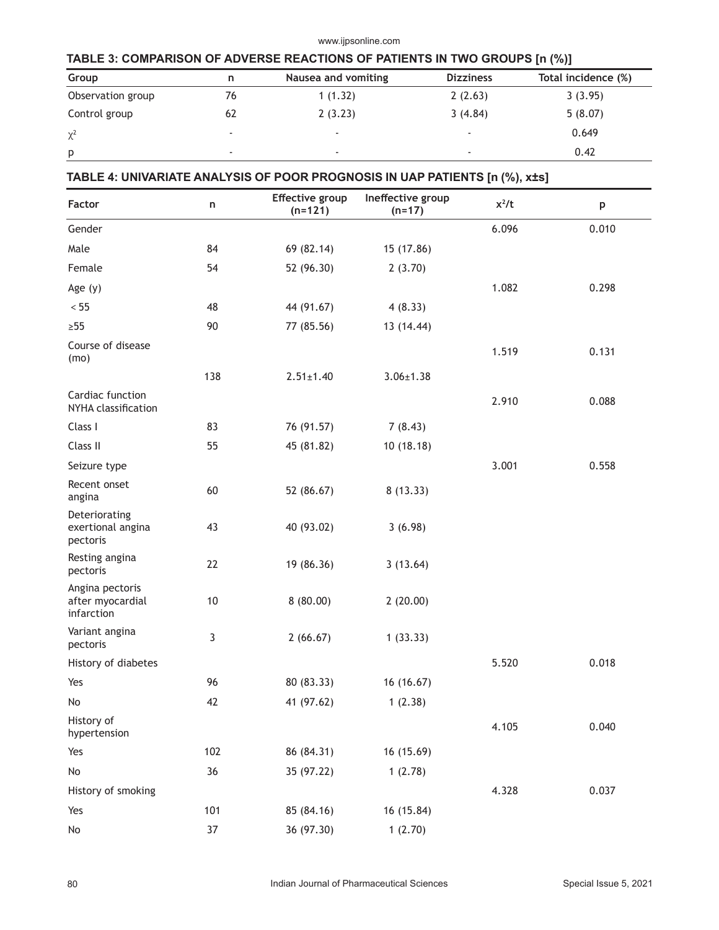| TABLE 3: COMPARISON OF ADVERSE REACTIONS OF PATIENTS IN TWO GROUPS [n (%)] |    |                     |                  |                     |  |
|----------------------------------------------------------------------------|----|---------------------|------------------|---------------------|--|
| Group                                                                      | n  | Nausea and vomiting | <b>Dizziness</b> | Total incidence (%) |  |
| Observation group                                                          | 76 | 1(1.32)             | 2(2.63)          | 3(3.95)             |  |
| Control group                                                              | 62 | 2(3.23)             | 3(4.84)          | 5(8.07)             |  |
| $\chi^2$                                                                   | -  | ۰.                  |                  | 0.649               |  |
| p                                                                          | -  | ۰.                  |                  | 0.42                |  |

www.ijpsonline.com

# **TABLE 4: UNIVARIATE ANALYSIS OF POOR PROGNOSIS IN UAP PATIENTS [n (%), x±s]**

| Factor                                            | n    | <b>Effective group</b><br>$(n=121)$ | Ineffective group<br>$(n=17)$ | $x^2/t$ | p     |
|---------------------------------------------------|------|-------------------------------------|-------------------------------|---------|-------|
| Gender                                            |      |                                     |                               | 6.096   | 0.010 |
| Male                                              | 84   | 69 (82.14)                          | 15 (17.86)                    |         |       |
| Female                                            | 54   | 52 (96.30)                          | 2(3.70)                       |         |       |
| Age $(y)$                                         |      |                                     |                               | 1.082   | 0.298 |
| $<55$                                             | 48   | 44 (91.67)                          | 4(8.33)                       |         |       |
| $\geq 55$                                         | 90   | 77 (85.56)                          | 13 (14.44)                    |         |       |
| Course of disease<br>(mo)                         |      |                                     |                               | 1.519   | 0.131 |
|                                                   | 138  | $2.51 \pm 1.40$                     | $3.06 \pm 1.38$               |         |       |
| Cardiac function<br>NYHA classification           |      |                                     |                               | 2.910   | 0.088 |
| Class I                                           | 83   | 76 (91.57)                          | 7(8.43)                       |         |       |
| Class II                                          | 55   | 45 (81.82)                          | 10(18.18)                     |         |       |
| Seizure type                                      |      |                                     |                               | 3.001   | 0.558 |
| Recent onset<br>angina                            | 60   | 52 (86.67)                          | 8(13.33)                      |         |       |
| Deteriorating<br>exertional angina<br>pectoris    | 43   | 40 (93.02)                          | 3(6.98)                       |         |       |
| Resting angina<br>pectoris                        | 22   | 19 (86.36)                          | 3(13.64)                      |         |       |
| Angina pectoris<br>after myocardial<br>infarction | $10$ | 8(80.00)                            | 2(20.00)                      |         |       |
| Variant angina<br>pectoris                        | 3    | 2(66.67)                            | 1(33.33)                      |         |       |
| History of diabetes                               |      |                                     |                               | 5.520   | 0.018 |
| Yes                                               | 96   | 80 (83.33)                          | 16 (16.67)                    |         |       |
| No                                                | 42   | 41 (97.62)                          | 1(2.38)                       |         |       |
| History of<br>hypertension                        |      |                                     |                               | 4.105   | 0.040 |
| Yes                                               | 102  | 86 (84.31)                          | 16 (15.69)                    |         |       |
| No                                                | 36   | 35 (97.22)                          | 1(2.78)                       |         |       |
| History of smoking                                |      |                                     |                               | 4.328   | 0.037 |
| Yes                                               | 101  | 85 (84.16)                          | 16 (15.84)                    |         |       |
| No                                                | 37   | 36 (97.30)                          | 1(2.70)                       |         |       |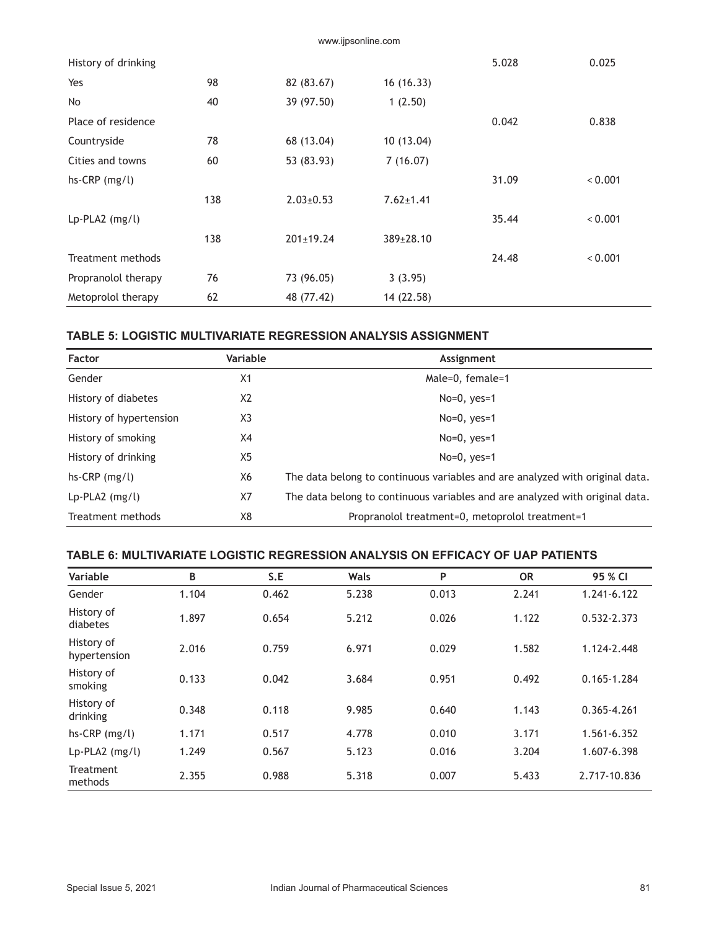www.ijpsonline.com

| History of drinking |     |                 |                 | 5.028 | 0.025   |
|---------------------|-----|-----------------|-----------------|-------|---------|
| Yes                 | 98  | 82 (83.67)      | 16(16.33)       |       |         |
| <b>No</b>           | 40  | 39 (97.50)      | 1(2.50)         |       |         |
| Place of residence  |     |                 |                 | 0.042 | 0.838   |
| Countryside         | 78  | 68 (13.04)      | 10 (13.04)      |       |         |
| Cities and towns    | 60  | 53 (83.93)      | 7(16.07)        |       |         |
| $hs-CRP$ (mg/l)     |     |                 |                 | 31.09 | < 0.001 |
|                     | 138 | $2.03 \pm 0.53$ | $7.62 \pm 1.41$ |       |         |
| Lp-PLA2 (mg/l)      |     |                 |                 | 35.44 | < 0.001 |
|                     | 138 | $201 \pm 19.24$ | $389 \pm 28.10$ |       |         |
| Treatment methods   |     |                 |                 | 24.48 | < 0.001 |
| Propranolol therapy | 76  | 73 (96.05)      | 3(3.95)         |       |         |
| Metoprolol therapy  | 62  | 48 (77.42)      | 14 (22.58)      |       |         |

#### **TABLE 5: LOGISTIC MULTIVARIATE REGRESSION ANALYSIS ASSIGNMENT**

| <b>Factor</b>           | Variable       | Assignment                                                                   |
|-------------------------|----------------|------------------------------------------------------------------------------|
| Gender                  | X1             | Male=0, female=1                                                             |
| History of diabetes     | X <sub>2</sub> | $No=0$ , $yes=1$                                                             |
| History of hypertension | X <sub>3</sub> | $No=0, yes=1$                                                                |
| History of smoking      | X4             | $No=0, yes=1$                                                                |
| History of drinking     | X <sub>5</sub> | $No=0, yes=1$                                                                |
| $hs-CRP$ (mg/l)         | X6             | The data belong to continuous variables and are analyzed with original data. |
| $Lp$ -PLA2 (mg/l)       | X7             | The data belong to continuous variables and are analyzed with original data. |
| Treatment methods       | X8             | Propranolol treatment=0, metoprolol treatment=1                              |

## **TABLE 6: MULTIVARIATE LOGISTIC REGRESSION ANALYSIS ON EFFICACY OF UAP PATIENTS**

| Variable                   | B     | S.E   | Wals  | P     | <b>OR</b> | 95 % CI         |
|----------------------------|-------|-------|-------|-------|-----------|-----------------|
| Gender                     | 1.104 | 0.462 | 5.238 | 0.013 | 2.241     | 1.241-6.122     |
| History of<br>diabetes     | 1.897 | 0.654 | 5.212 | 0.026 | 1.122     | 0.532-2.373     |
| History of<br>hypertension | 2.016 | 0.759 | 6.971 | 0.029 | 1.582     | 1.124-2.448     |
| History of<br>smoking      | 0.133 | 0.042 | 3.684 | 0.951 | 0.492     | $0.165 - 1.284$ |
| History of<br>drinking     | 0.348 | 0.118 | 9.985 | 0.640 | 1.143     | $0.365 - 4.261$ |
| $hs-CRP$ (mg/l)            | 1.171 | 0.517 | 4.778 | 0.010 | 3.171     | 1.561-6.352     |
| Lp-PLA2 (mg/l)             | 1.249 | 0.567 | 5.123 | 0.016 | 3.204     | 1.607-6.398     |
| Treatment<br>methods       | 2.355 | 0.988 | 5.318 | 0.007 | 5.433     | 2.717-10.836    |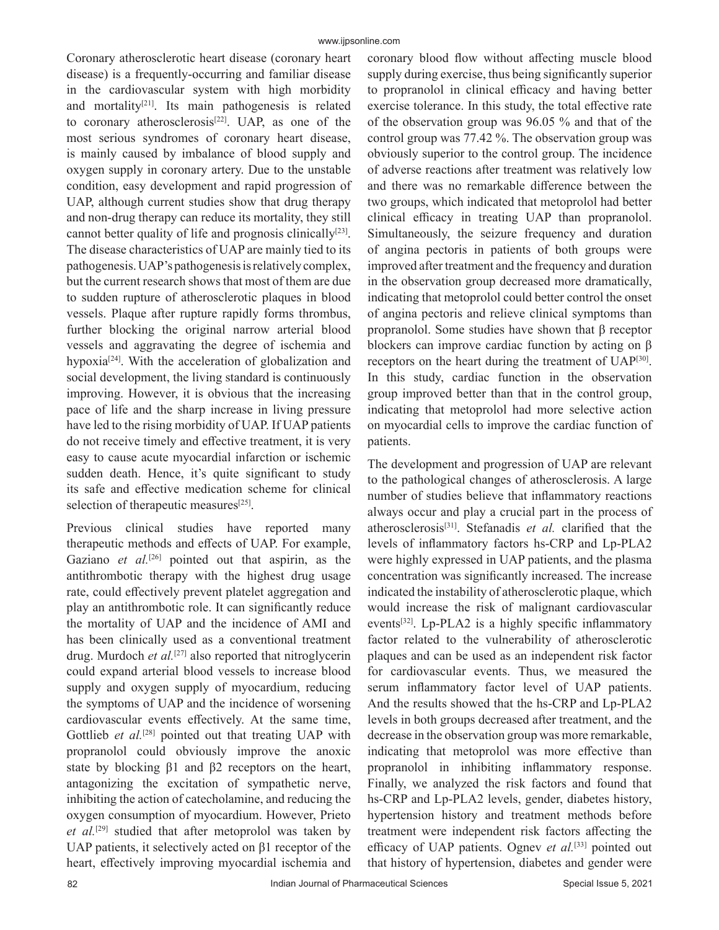Coronary atherosclerotic heart disease (coronary heart disease) is a frequently-occurring and familiar disease in the cardiovascular system with high morbidity and mortality<sup>[21]</sup>. Its main pathogenesis is related to coronary atherosclerosis<sup>[22]</sup>. UAP, as one of the most serious syndromes of coronary heart disease, is mainly caused by imbalance of blood supply and oxygen supply in coronary artery. Due to the unstable condition, easy development and rapid progression of UAP, although current studies show that drug therapy and non-drug therapy can reduce its mortality, they still cannot better quality of life and prognosis clinically<sup>[23]</sup>. The disease characteristics of UAP are mainly tied to its pathogenesis. UAP's pathogenesis is relatively complex, but the current research shows that most of them are due to sudden rupture of atherosclerotic plaques in blood vessels. Plaque after rupture rapidly forms thrombus, further blocking the original narrow arterial blood vessels and aggravating the degree of ischemia and hypoxia<sup>[24]</sup>. With the acceleration of globalization and social development, the living standard is continuously improving. However, it is obvious that the increasing pace of life and the sharp increase in living pressure have led to the rising morbidity of UAP. If UAP patients do not receive timely and effective treatment, it is very easy to cause acute myocardial infarction or ischemic sudden death. Hence, it's quite significant to study its safe and effective medication scheme for clinical selection of therapeutic measures<sup>[25]</sup>.

Previous clinical studies have reported many therapeutic methods and effects of UAP. For example, Gaziano *et al.*<sup>[26]</sup> pointed out that aspirin, as the antithrombotic therapy with the highest drug usage rate, could effectively prevent platelet aggregation and play an antithrombotic role. It can significantly reduce the mortality of UAP and the incidence of AMI and has been clinically used as a conventional treatment drug. Murdoch *et al.*[27] also reported that nitroglycerin could expand arterial blood vessels to increase blood supply and oxygen supply of myocardium, reducing the symptoms of UAP and the incidence of worsening cardiovascular events effectively. At the same time, Gottlieb *et al.*<sup>[28]</sup> pointed out that treating UAP with propranolol could obviously improve the anoxic state by blocking β1 and β2 receptors on the heart, antagonizing the excitation of sympathetic nerve, inhibiting the action of catecholamine, and reducing the oxygen consumption of myocardium. However, Prieto *et al.*[29] studied that after metoprolol was taken by UAP patients, it selectively acted on β1 receptor of the heart, effectively improving myocardial ischemia and

coronary blood flow without affecting muscle blood supply during exercise, thus being significantly superior to propranolol in clinical efficacy and having better exercise tolerance. In this study, the total effective rate of the observation group was 96.05 % and that of the control group was 77.42 %. The observation group was obviously superior to the control group. The incidence of adverse reactions after treatment was relatively low and there was no remarkable difference between the two groups, which indicated that metoprolol had better clinical efficacy in treating UAP than propranolol. Simultaneously, the seizure frequency and duration of angina pectoris in patients of both groups were improved after treatment and the frequency and duration in the observation group decreased more dramatically, indicating that metoprolol could better control the onset of angina pectoris and relieve clinical symptoms than propranolol. Some studies have shown that β receptor blockers can improve cardiac function by acting on β receptors on the heart during the treatment of UAP<sup>[30]</sup>. In this study, cardiac function in the observation group improved better than that in the control group, indicating that metoprolol had more selective action on myocardial cells to improve the cardiac function of patients.

The development and progression of UAP are relevant to the pathological changes of atherosclerosis. A large number of studies believe that inflammatory reactions always occur and play a crucial part in the process of atherosclerosis[31]. Stefanadis *et al.* clarified that the levels of inflammatory factors hs-CRP and Lp-PLA2 were highly expressed in UAP patients, and the plasma concentration was significantly increased. The increase indicated the instability of atherosclerotic plaque, which would increase the risk of malignant cardiovascular events<sup>[32]</sup>. Lp-PLA2 is a highly specific inflammatory factor related to the vulnerability of atherosclerotic plaques and can be used as an independent risk factor for cardiovascular events. Thus, we measured the serum inflammatory factor level of UAP patients. And the results showed that the hs-CRP and Lp-PLA2 levels in both groups decreased after treatment, and the decrease in the observation group was more remarkable, indicating that metoprolol was more effective than propranolol in inhibiting inflammatory response. Finally, we analyzed the risk factors and found that hs-CRP and Lp-PLA2 levels, gender, diabetes history, hypertension history and treatment methods before treatment were independent risk factors affecting the efficacy of UAP patients. Ognev *et al.*<sup>[33]</sup> pointed out that history of hypertension, diabetes and gender were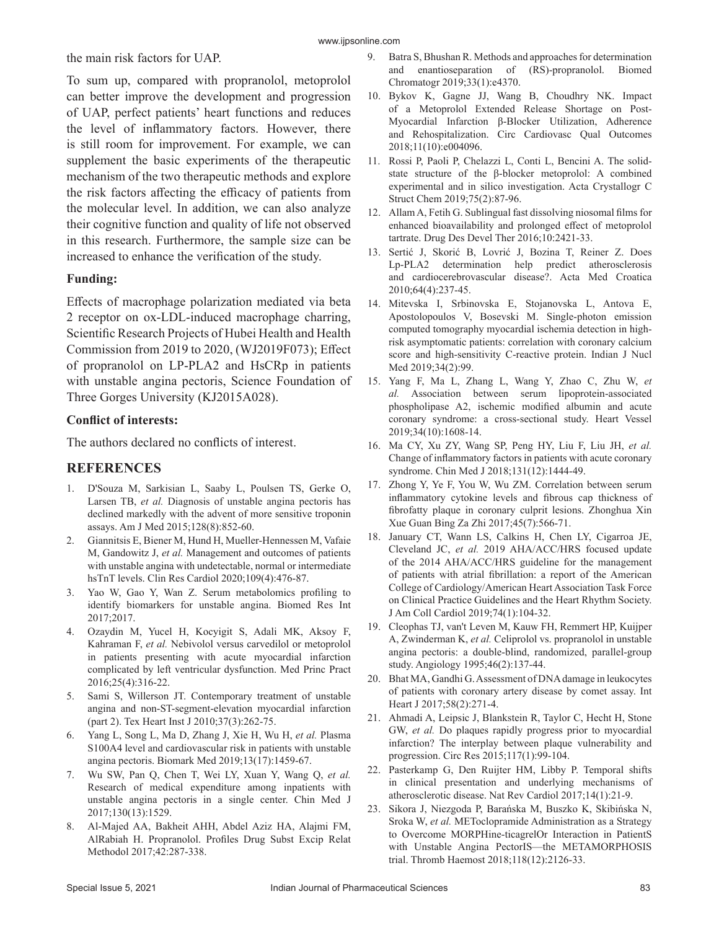the main risk factors for UAP.

To sum up, compared with propranolol, metoprolol can better improve the development and progression of UAP, perfect patients' heart functions and reduces the level of inflammatory factors. However, there is still room for improvement. For example, we can supplement the basic experiments of the therapeutic mechanism of the two therapeutic methods and explore the risk factors affecting the efficacy of patients from the molecular level. In addition, we can also analyze their cognitive function and quality of life not observed in this research. Furthermore, the sample size can be increased to enhance the verification of the study.

# **Funding:**

Effects of macrophage polarization mediated via beta 2 receptor on ox-LDL-induced macrophage charring, Scientific Research Projects of Hubei Health and Health Commission from 2019 to 2020, (WJ2019F073); Effect of propranolol on LP-PLA2 and HsCRp in patients with unstable angina pectoris, Science Foundation of Three Gorges University (KJ2015A028).

### **Conflict of interests:**

The authors declared no conflicts of interest.

# **REFERENCES**

- 1. D'Souza M, Sarkisian L, Saaby L, Poulsen TS, Gerke O, Larsen TB, *et al.* Diagnosis of unstable angina pectoris has declined markedly with the advent of more sensitive troponin assays. Am J Med 2015;128(8):852-60.
- 2. Giannitsis E, Biener M, Hund H, Mueller-Hennessen M, Vafaie M, Gandowitz J, *et al.* Management and outcomes of patients with unstable angina with undetectable, normal or intermediate hsTnT levels. Clin Res Cardiol 2020;109(4):476-87.
- 3. Yao W, Gao Y, Wan Z. Serum metabolomics profiling to identify biomarkers for unstable angina. Biomed Res Int 2017;2017.
- 4. Ozaydin M, Yucel H, Kocyigit S, Adali MK, Aksoy F, Kahraman F, *et al.* Nebivolol versus carvedilol or metoprolol in patients presenting with acute myocardial infarction complicated by left ventricular dysfunction. Med Princ Pract 2016;25(4):316-22.
- 5. Sami S, Willerson JT. Contemporary treatment of unstable angina and non-ST-segment-elevation myocardial infarction (part 2). Tex Heart Inst J 2010;37(3):262-75.
- 6. Yang L, Song L, Ma D, Zhang J, Xie H, Wu H, *et al.* Plasma S100A4 level and cardiovascular risk in patients with unstable angina pectoris. Biomark Med 2019;13(17):1459-67.
- 7. Wu SW, Pan Q, Chen T, Wei LY, Xuan Y, Wang Q, *et al.* Research of medical expenditure among inpatients with unstable angina pectoris in a single center. Chin Med J 2017;130(13):1529.
- 8. Al-Majed AA, Bakheit AHH, Abdel Aziz HA, Alajmi FM, AlRabiah H. Propranolol. Profiles Drug Subst Excip Relat Methodol 2017;42:287-338.
- 9. Batra S, Bhushan R. Methods and approaches for determination and enantioseparation of (RS)‐propranolol. Biomed Chromatogr 2019;33(1):e4370.
- 10. Bykov K, Gagne JJ, Wang B, Choudhry NK. Impact of a Metoprolol Extended Release Shortage on Post-Myocardial Infarction β-Blocker Utilization, Adherence and Rehospitalization. Circ Cardiovasc Qual Outcomes 2018;11(10):e004096.
- 11. Rossi P, Paoli P, Chelazzi L, Conti L, Bencini A. The solidstate structure of the β-blocker metoprolol: A combined experimental and in silico investigation. Acta Crystallogr C Struct Chem 2019;75(2):87-96.
- 12. Allam A, Fetih G. Sublingual fast dissolving niosomal films for enhanced bioavailability and prolonged effect of metoprolol tartrate. Drug Des Devel Ther 2016;10:2421-33.
- 13. Sertić J, Skorić B, Lovrić J, Bozina T, Reiner Z. Does Lp-PLA2 determination help predict atherosclerosis and cardiocerebrovascular disease?. Acta Med Croatica 2010;64(4):237-45.
- 14. Mitevska I, Srbinovska E, Stojanovska L, Antova E, Apostolopoulos V, Bosevski M. Single-photon emission computed tomography myocardial ischemia detection in highrisk asymptomatic patients: correlation with coronary calcium score and high-sensitivity C-reactive protein. Indian J Nucl Med 2019;34(2):99.
- 15. Yang F, Ma L, Zhang L, Wang Y, Zhao C, Zhu W, *et al.* Association between serum lipoprotein-associated phospholipase A2, ischemic modified albumin and acute coronary syndrome: a cross-sectional study. Heart Vessel 2019;34(10):1608-14.
- 16. Ma CY, Xu ZY, Wang SP, Peng HY, Liu F, Liu JH, *et al.* Change of inflammatory factors in patients with acute coronary syndrome. Chin Med J 2018;131(12):1444-49.
- 17. Zhong Y, Ye F, You W, Wu ZM. Correlation between serum inflammatory cytokine levels and fibrous cap thickness of fibrofatty plaque in coronary culprit lesions. Zhonghua Xin Xue Guan Bing Za Zhi 2017;45(7):566-71.
- 18. January CT, Wann LS, Calkins H, Chen LY, Cigarroa JE, Cleveland JC, *et al.* 2019 AHA/ACC/HRS focused update of the 2014 AHA/ACC/HRS guideline for the management of patients with atrial fibrillation: a report of the American College of Cardiology/American Heart Association Task Force on Clinical Practice Guidelines and the Heart Rhythm Society. J Am Coll Cardiol 2019;74(1):104-32.
- 19. Cleophas TJ, van't Leven M, Kauw FH, Remmert HP, Kuijper A, Zwinderman K, *et al.* Celiprolol vs. propranolol in unstable angina pectoris: a double-blind, randomized, parallel-group study. Angiology 1995;46(2):137-44.
- 20. Bhat MA, Gandhi G. Assessment of DNA damage in leukocytes of patients with coronary artery disease by comet assay. Int Heart J 2017;58(2):271-4.
- 21. Ahmadi A, Leipsic J, Blankstein R, Taylor C, Hecht H, Stone GW, *et al.* Do plaques rapidly progress prior to myocardial infarction? The interplay between plaque vulnerability and progression. Circ Res 2015;117(1):99-104.
- 22. Pasterkamp G, Den Ruijter HM, Libby P. Temporal shifts in clinical presentation and underlying mechanisms of atherosclerotic disease. Nat Rev Cardiol 2017;14(1):21-9.
- 23. Sikora J, Niezgoda P, Barańska M, Buszko K, Skibińska N, Sroka W, *et al.* METoclopramide Administration as a Strategy to Overcome MORPHine-ticagrelOr Interaction in PatientS with Unstable Angina PectorIS—the METAMORPHOSIS trial. Thromb Haemost 2018;118(12):2126-33.